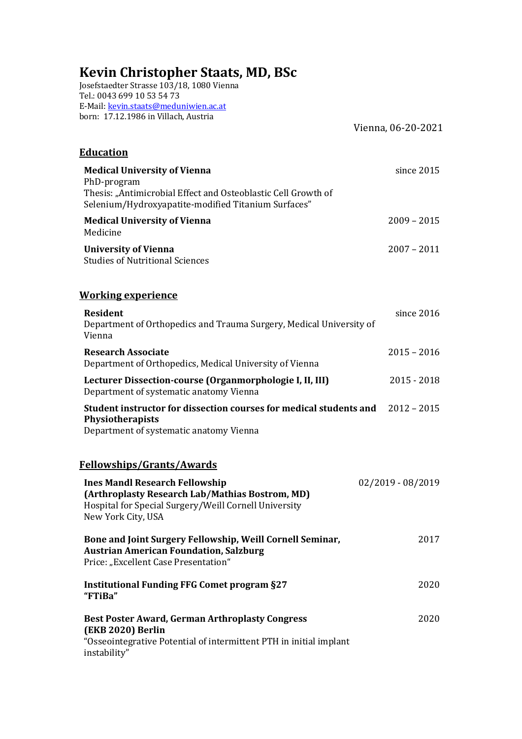# **Kevin Christopher Staats, MD, BSc**

Josefstaedter Strasse 103/18, 1080 Vienna Tel.: 0043 699 10 53 54 73 E-Mail: kevin.staats@meduniwien.ac.at born: 17.12.1986 in Villach, Austria

Vienna, 06-20-2021

| <b>Education</b>                                                                                                                                                           |                   |
|----------------------------------------------------------------------------------------------------------------------------------------------------------------------------|-------------------|
| <b>Medical University of Vienna</b><br>PhD-program<br>Thesis: "Antimicrobial Effect and Osteoblastic Cell Growth of<br>Selenium/Hydroxyapatite-modified Titanium Surfaces" | since 2015        |
| <b>Medical University of Vienna</b><br>Medicine                                                                                                                            | $2009 - 2015$     |
| <b>University of Vienna</b><br><b>Studies of Nutritional Sciences</b>                                                                                                      | $2007 - 2011$     |
| <b>Working experience</b>                                                                                                                                                  |                   |
| Resident<br>Department of Orthopedics and Trauma Surgery, Medical University of<br>Vienna                                                                                  | since 2016        |
| <b>Research Associate</b><br>Department of Orthopedics, Medical University of Vienna                                                                                       | $2015 - 2016$     |
| Lecturer Dissection-course (Organmorphologie I, II, III)<br>Department of systematic anatomy Vienna                                                                        | $2015 - 2018$     |
| Student instructor for dissection courses for medical students and<br>Physiotherapists<br>Department of systematic anatomy Vienna                                          | $2012 - 2015$     |
| <b>Fellowships/Grants/Awards</b>                                                                                                                                           |                   |
| <b>Ines Mandl Research Fellowship</b><br>(Arthroplasty Research Lab/Mathias Bostrom, MD)<br>Hospital for Special Surgery/Weill Cornell University<br>New York City, USA    | 02/2019 - 08/2019 |
| Bone and Joint Surgery Fellowship, Weill Cornell Seminar,<br><b>Austrian American Foundation, Salzburg</b><br>Price: "Excellent Case Presentation"                         | 2017              |
| <b>Institutional Funding FFG Comet program §27</b><br>"FTiBa"                                                                                                              | 2020              |
| <b>Best Poster Award, German Arthroplasty Congress</b><br>(EKB 2020) Berlin<br>"Osseointegrative Potential of intermittent PTH in initial implant<br>instability"          | 2020              |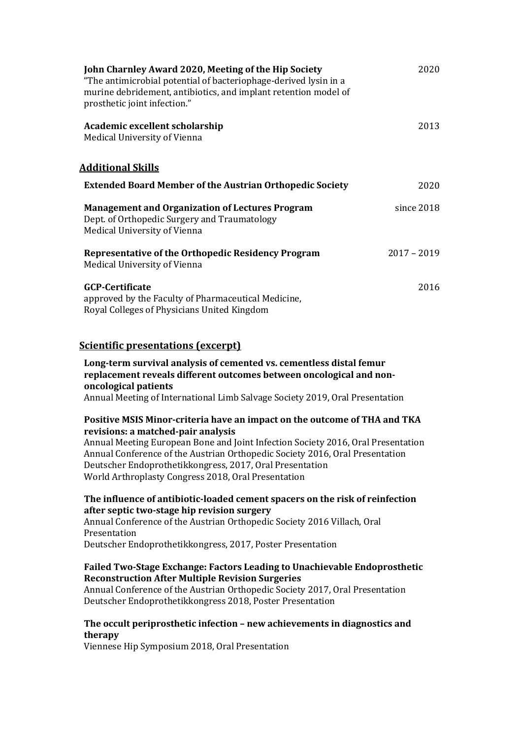| John Charnley Award 2020, Meeting of the Hip Society<br>"The antimicrobial potential of bacteriophage-derived lysin in a<br>murine debridement, antibiotics, and implant retention model of<br>prosthetic joint infection." | 2020          |
|-----------------------------------------------------------------------------------------------------------------------------------------------------------------------------------------------------------------------------|---------------|
| Academic excellent scholarship<br>Medical University of Vienna                                                                                                                                                              | 2013          |
| <u> Additional Skills</u>                                                                                                                                                                                                   |               |
| <b>Extended Board Member of the Austrian Orthopedic Society</b>                                                                                                                                                             | 2020          |
| <b>Management and Organization of Lectures Program</b><br>Dept. of Orthopedic Surgery and Traumatology<br>Medical University of Vienna                                                                                      | since 2018    |
| Representative of the Orthopedic Residency Program<br>Medical University of Vienna                                                                                                                                          | $2017 - 2019$ |
| <b>GCP-Certificate</b><br>approved by the Faculty of Pharmaceutical Medicine,<br>Royal Colleges of Physicians United Kingdom                                                                                                | 2016          |

## **Scientific presentations (excerpt)**

# Long-term survival analysis of cemented vs. cementless distal femur replacement reveals different outcomes between oncological and non**oncological patients**

Annual Meeting of International Limb Salvage Society 2019, Oral Presentation

## Positive MSIS Minor-criteria have an impact on the outcome of THA and TKA **revisions: a matched-pair analysis**

Annual Meeting European Bone and Joint Infection Society 2016, Oral Presentation Annual Conference of the Austrian Orthopedic Society 2016, Oral Presentation Deutscher Endoprothetikkongress, 2017, Oral Presentation World Arthroplasty Congress 2018, Oral Presentation

## The influence of antibiotic-loaded cement spacers on the risk of reinfection **after septic two-stage hip revision surgery**

Annual Conference of the Austrian Orthopedic Society 2016 Villach, Oral Presentation Deutscher Endoprothetikkongress, 2017, Poster Presentation

## Failed Two-Stage Exchange: Factors Leading to Unachievable Endoprosthetic **Reconstruction After Multiple Revision Surgeries**

Annual Conference of the Austrian Orthopedic Society 2017, Oral Presentation Deutscher Endoprothetikkongress 2018, Poster Presentation

## The occult periprosthetic infection - new achievements in diagnostics and **therapy**

Viennese Hip Symposium 2018, Oral Presentation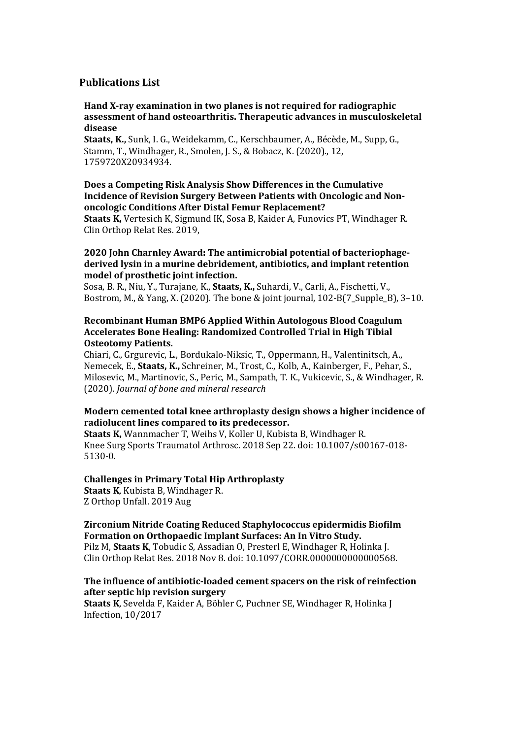## **Publications List**

#### **Hand X-ray examination in two planes is not required for radiographic** assessment of hand osteoarthritis. Therapeutic advances in musculoskeletal **disease**

Staats, K., Sunk, I. G., Weidekamm, C., Kerschbaumer, A., Bécède, M., Supp, G., Stamm, T., Windhager, R., Smolen, J. S., & Bobacz, K. (2020)., 12, 1759720X20934934.

## **Does a Competing Risk Analysis Show Differences in the Cumulative Incidence of Revision Surgery Between Patients with Oncologic and Nononcologic Conditions After Distal Femur Replacement?**

**Staats K,** Vertesich K, Sigmund IK, Sosa B, Kaider A, Funovics PT, Windhager R, Clin Orthop Relat Res. 2019,

#### 2020 John Charnley Award: The antimicrobial potential of bacteriophagederived lysin in a murine debridement, antibiotics, and implant retention model of prosthetic *ioint* infection.

Sosa, B. R., Niu, Y., Turajane, K., Staats, K., Suhardi, V., Carli, A., Fischetti, V., Bostrom, M., & Yang, X. (2020). The bone & joint journal,  $102-B(7)$  Supple B),  $3-10$ .

#### **Recombinant Human BMP6 Applied Within Autologous Blood Coagulum** Accelerates Bone Healing: Randomized Controlled Trial in High Tibial **Osteotomy Patients.**

Chiari, C., Grgurevic, L., Bordukalo-Niksic, T., Oppermann, H., Valentinitsch, A., Nemecek, E., Staats, K., Schreiner, M., Trost, C., Kolb, A., Kainberger, F., Pehar, S., Milosevic, M., Martinovic, S., Peric, M., Sampath, T. K., Vukicevic, S., & Windhager, R. (2020). *Journal of bone and mineral research*

## **Modern cemented total knee arthroplasty design shows a higher incidence of** radiolucent lines compared to its predecessor.

**Staats K,** Wannmacher T, Weihs V, Koller U, Kubista B, Windhager R. Knee Surg Sports Traumatol Arthrosc. 2018 Sep 22. doi: 10.1007/s00167-018-5130-0.

#### **Challenges in Primary Total Hip Arthroplasty**

**Staats K, Kubista B, Windhager R.** Z Orthop Unfall. 2019 Aug

# **Zirconium Nitride Coating Reduced Staphylococcus epidermidis Biofilm**  Formation on Orthopaedic Implant Surfaces: An In Vitro Study.

Pilz M, **Staats K**, Tobudic S, Assadian O, Presterl E, Windhager R, Holinka J. Clin Orthop Relat Res. 2018 Nov 8. doi: 10.1097/CORR.0000000000000568.

## **The influence of antibiotic-loaded cement spacers on the risk of reinfection after septic hip revision surgery**

**Staats K**, Sevelda F, Kaider A, Böhler C, Puchner SE, Windhager R, Holinka J Infection, 10/2017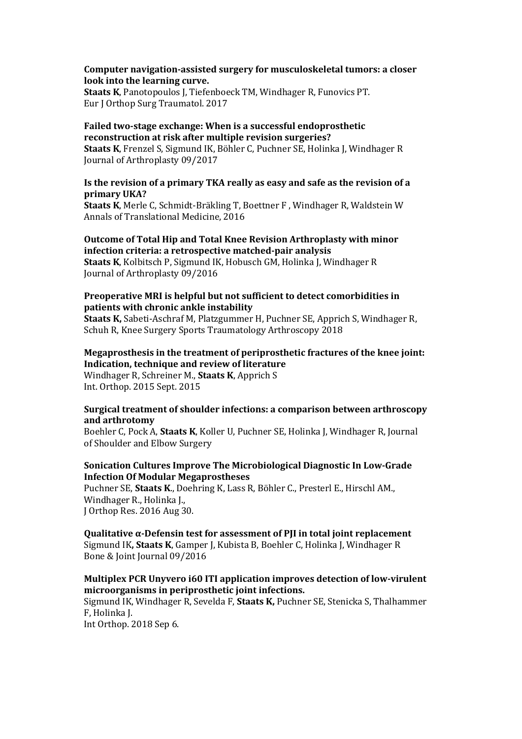#### **Computer navigation-assisted surgery for musculoskeletal tumors: a closer** look into the learning curve.

**Staats K**, Panotopoulos J, Tiefenboeck TM, Windhager R, Funovics PT. Eur I Orthop Surg Traumatol. 2017

#### Failed two-stage exchange: When is a successful endoprosthetic **reconstruction at risk after multiple revision surgeries?**

**Staats K**, Frenzel S, Sigmund IK, Böhler C, Puchner SE, Holinka J, Windhager R Journal of Arthroplasty 09/2017

# Is the revision of a primary TKA really as easy and safe as the revision of a **primary UKA?**

**Staats K**, Merle C, Schmidt-Bräkling T, Boettner F, Windhager R, Waldstein W Annals of Translational Medicine, 2016

#### **Outcome of Total Hip and Total Knee Revision Arthroplasty with minor infection criteria: a retrospective matched-pair analysis**

**Staats K,** Kolbitsch P, Sigmund IK, Hobusch GM, Holinka J, Windhager R Journal of Arthroplasty 09/2016

#### **Preoperative MRI is helpful but not sufficient to detect comorbidities in patients with chronic ankle instability**

**Staats K,** Sabeti-Aschraf M, Platzgummer H, Puchner SE, Apprich S, Windhager R, Schuh R, Knee Surgery Sports Traumatology Arthroscopy 2018

# **Megaprosthesis in the treatment of periprosthetic fractures of the knee joint:** Indication, technique and review of literature

Windhager R, Schreiner M., **Staats K**, Apprich S Int. Orthop. 2015 Sept. 2015

#### **Surgical treatment of shoulder infections: a comparison between arthroscopy and arthrotomy**

Boehler C, Pock A, Staats K, Koller U, Puchner SE, Holinka J, Windhager R, Journal of Shoulder and Elbow Surgery

## **Sonication Cultures Improve The Microbiological Diagnostic In Low-Grade Infection Of Modular Megaprostheses**

Puchner SE, Staats K., Doehring K, Lass R, Böhler C., Presterl E., Hirschl AM., Windhager R., Holinka L. J Orthop Res. 2016 Aug 30.

#### **Qualitative α-Defensin test for assessment of PII in total joint replacement**

Sigmund IK, Staats K, Gamper J, Kubista B, Boehler C, Holinka J, Windhager R Bone & Joint Journal 09/2016

#### **Multiplex PCR Unyvero i60 ITI application improves detection of low-virulent** microorganisms in periprosthetic joint infections.

Sigmund IK, Windhager R, Sevelda F, **Staats K,** Puchner SE, Stenicka S, Thalhammer F. Holinka I.

Int Orthop. 2018 Sep 6.